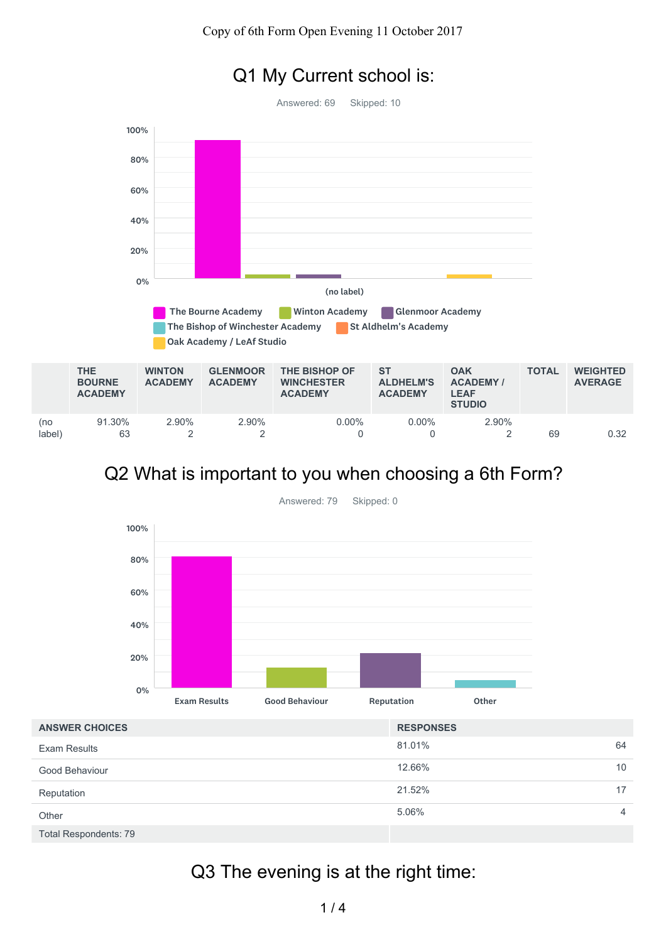### Q1 My Current school is:

Answered: 69 Skipped: 10



### Q2 What is important to you when choosing a 6th Form?



Answered: 79 Skipped: 0

| <b>ANSWER CHOICES</b>        | <b>RESPONSES</b> |  |
|------------------------------|------------------|--|
| <b>Exam Results</b>          | 81.01%<br>64     |  |
| Good Behaviour               | 12.66%<br>10     |  |
| Reputation                   | 21.52%<br>17     |  |
| Other                        | 5.06%<br>4       |  |
| <b>Total Respondents: 79</b> |                  |  |

## Q3 The evening is at the right time: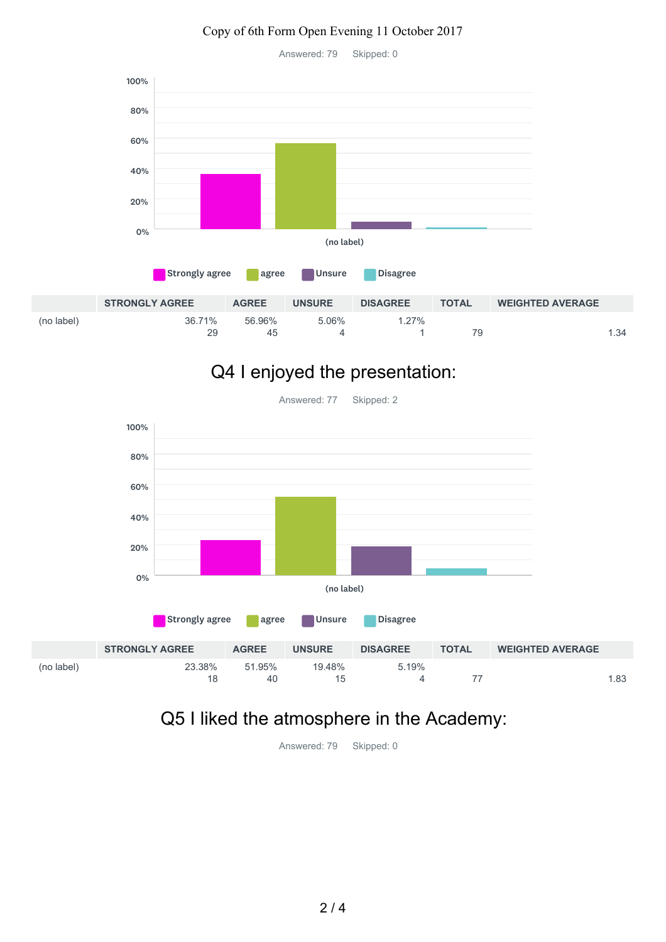#### Copy of 6th Form Open Evening 11 October 2017

Answered: 79 Skipped: 0



## Q4 I enjoyed the presentation:



Answered: 77 Skipped: 2

### Q5 I liked the atmosphere in the Academy:

(no label)

4 77 1.83

Answered: 79 Skipped: 0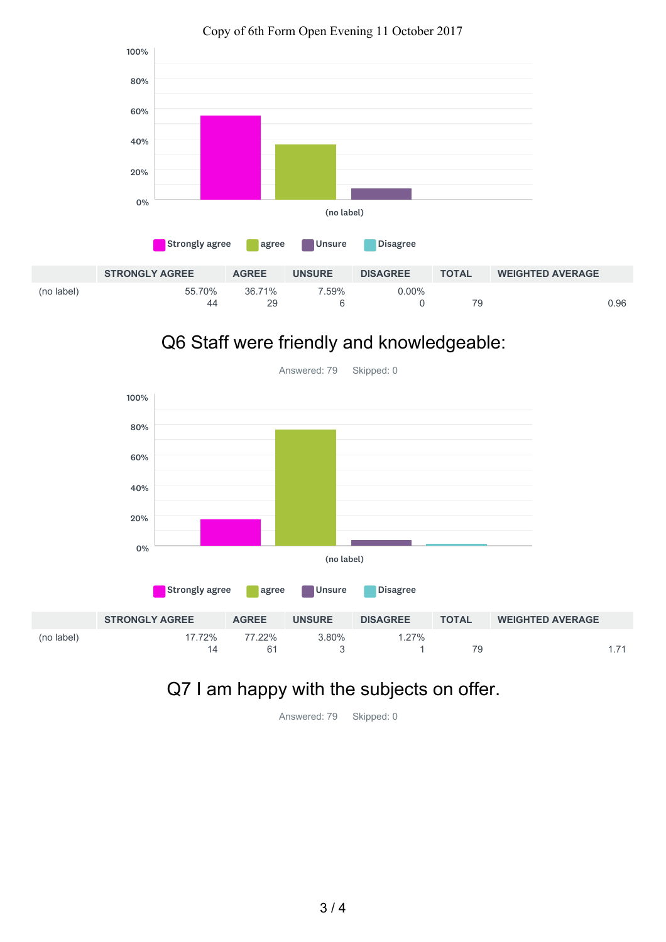

#### Copy of 6th Form Open Evening 11 October 2017

# Q6 Staff were friendly and knowledgeable:



## Q7 I am happy with the subjects on offer.

Answered: 79 Skipped: 0